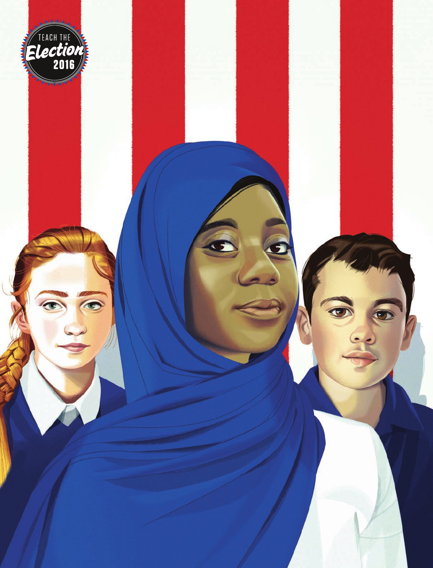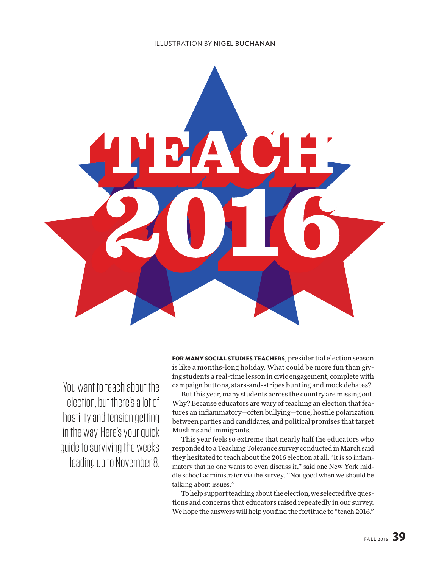#### ILLUSTRATION BY NIGEL BUCHANAN



You want to teach about the election, but there's a lot of hostility and tension getting in the way. Here's your quick guide to surviving the weeks leading up to November 8. **FOR MANY SOCIAL STUDIES TEACHERS**, presidential election season is like a months-long holiday. What could be more fun than giving students a real-time lesson in civic engagement, complete with campaign buttons, stars-and-stripes bunting and mock debates?

But this year, many students across the country are missing out. Why? Because educators are wary of teaching an election that features an inflammatory—often bullying—tone, hostile polarization between parties and candidates, and political promises that target Muslims and immigrants.

This year feels so extreme that nearly half the educators who responded to a Teaching Tolerance survey conducted in March said they hesitated to teach about the 2016 election at all. "It is so inflammatory that no one wants to even discuss it," said one New York middle school administrator via the survey. "Not good when we should be talking about issues."

To help support teaching about the election, we selected five questions and concerns that educators raised repeatedly in our survey. We hope the answers will help you find the fortitude to "teach 2016."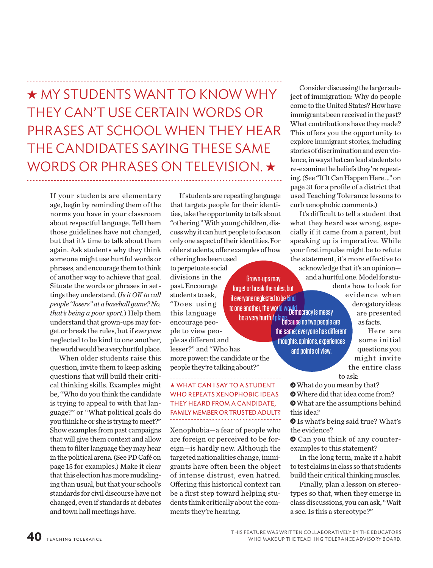# » MY STUDENTS WANT TO KNOW WHY THEY CAN'T USE CERTAIN WORDS OR PHRASES AT SCHOOL WHEN THEY HEAR THE CANDIDATES SAYING THESE SAME WORDS OR PHRASES ON TELEVISION.

If your students are elementary age, begin by reminding them of the norms you have in your classroom about respectful language. Tell them those guidelines have not changed, but that it's time to talk about them again. Ask students why they think someone might use hurtful words or phrases, and encourage them to think of another way to achieve that goal. Situate the words or phrases in settings they understand. (*Is it OK to call people "losers" at a baseball game? No, that's being a poor sport.*) Help them understand that grown-ups may forget or break the rules, but if *everyone* neglected to be kind to one another, the world would be a very hurtful place.

When older students raise this question, invite them to keep asking questions that will build their critical thinking skills. Examples might be, "Who do you think the candidate is trying to appeal to with that language?" or "What political goals do you think he or she is trying to meet?" Show examples from past campaigns that will give them context and allow them to filter language they may hear in the political arena. (See PD Café on page 15 for examples.) Make it clear that this election has more mudslinging than usual, but that your school's standards for civil discourse have not changed, even if standards at debates and town hall meetings have.

If students are repeating language that targets people for their identities, take the opportunity to talk about "othering." With young children, discuss why it can hurt people to focus on only one aspect of their identities. For older students, offer examples of how

othering has been used to perpetuate social divisions in the past. Encourage students to ask, "Does using this language encourage people to view people as different and lesser?" and "Who has more power: the candidate or the people they're talking about?" Grown-ups may forget or break the rules, but if everyone neglected to be kind

## » WHAT CAN I SAY TO A STUDENT WHO REPEATS XENOPHOBIC IDEAS THEY HEARD FROM A CANDIDATE, FAMILY MEMBER OR TRUSTED ADULT?

Xenophobia—a fear of people who are foreign or perceived to be foreign—is hardly new. Although the targeted nationalities change, immigrants have often been the object of intense distrust, even hatred. Offering this historical context can be a first step toward helping students think critically about the comments they're hearing.

Consider discussing the larger subject of immigration: Why do people come to the United States? How have immigrants been received in the past? What contributions have they made? This offers you the opportunity to explore immigrant stories, including stories of discrimination and even violence, in ways that can lead students to re-examine the beliefs they're repeating. (See "If It Can Happen Here ..." on page 31 for a profile of a district that used Teaching Tolerance lessons to curb xenophobic comments.)

It's difficult to tell a student that what they heard was wrong, especially if it came from a parent, but speaking up is imperative. While your first impulse might be to refute the statement, it's more effective to acknowledge that it's an opinion and a hurtful one. Model for students how to look for evidence when derogatory ideas are presented as facts. to one another, the world would<br>Democracy is messy be a very hurtful place.<br>Because no two people are

the same; everyone has different thoughts, opinions, experiences and points of view.

Here are some initial questions you might invite the entire class

- What do you mean by that?
- Where did that idea come from?
- What are the assumptions behind this idea?

to ask:

 Is what's being said true? What's the evidence?

 Can you think of any counterexamples to this statement?

In the long term, make it a habit to test claims in class so that students build their critical thinking muscles.

Finally, plan a lesson on stereotypes so that, when they emerge in class discussions, you can ask, "Wait a sec. Is this a stereotype?"